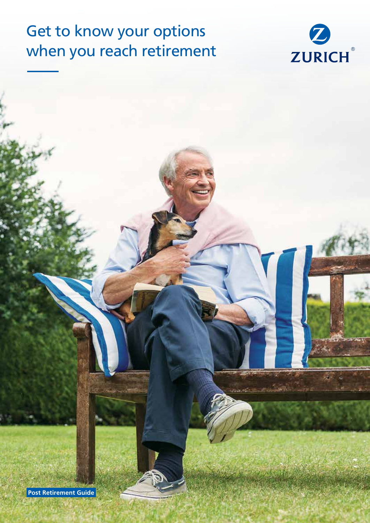## Get to know your options when you reach retirement



 **Post Retirement Guide**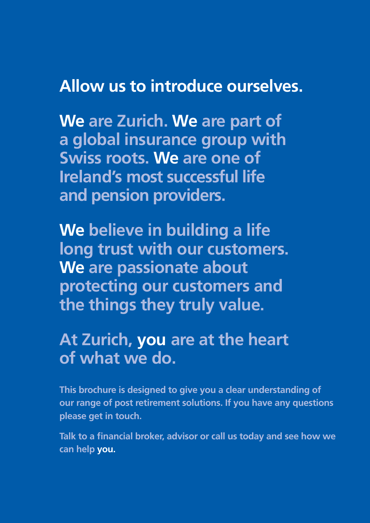## **Allow us to introduce ourselves.**

**We are Zurich. We are part of a global insurance group with Swiss roots. We are one of Ireland's most successful life and pension providers.** 

**We believe in building a life long trust with our customers. We are passionate about protecting our customers and the things they truly value.** 

## **At Zurich, you are at the heart of what we do.**

**This brochure is designed to give you a clear understanding of our range of post retirement solutions. If you have any questions please get in touch.** 

**Talk to a financial broker, advisor or call us today and see how we can help you.**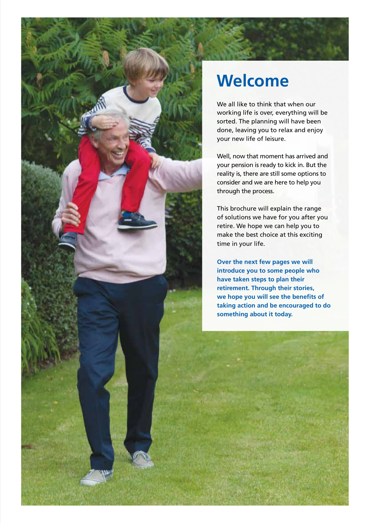

## **Welcome**

We all like to think that when our working life is over, everything will be sorted. The planning will have been done, leaving you to relax and enjoy your new life of leisure.

Well, now that moment has arrived and your pension is ready to kick in. But the reality is, there are still some options to consider and we are here to help you through the process.

This brochure will explain the range of solutions we have for you after you retire. We hope we can help you to make the best choice at this exciting time in your life.

**Over the next few pages we will introduce you to some people who have taken steps to plan their retirement. Through their stories, we hope you will see the benefits of taking action and be encouraged to do something about it today.**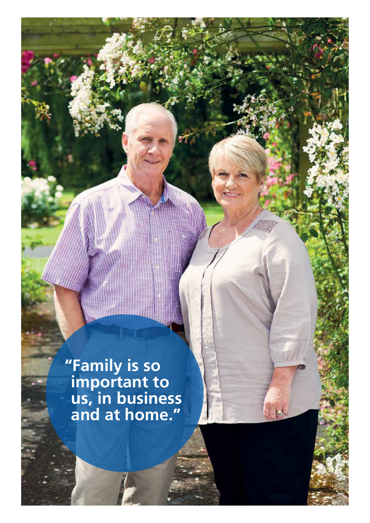**"Family is so important to us, in business and at home."**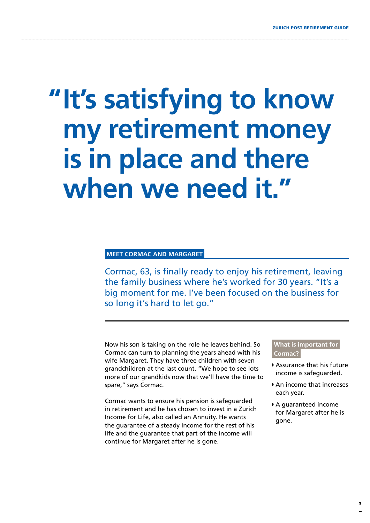## **It's satisfying to know " my retirement money is in place and there when we need it."**

#### **MEET CORMAC AND MARGARET**

Cormac, 63, is finally ready to enjoy his retirement, leaving the family business where he's worked for 30 years. "It's a big moment for me. I've been focused on the business for so long it's hard to let go."

Now his son is taking on the role he leaves behind. So Cormac can turn to planning the years ahead with his wife Margaret. They have three children with seven grandchildren at the last count. "We hope to see lots more of our grandkids now that we'll have the time to spare," says Cormac.

Cormac wants to ensure his pension is safeguarded in retirement and he has chosen to invest in a Zurich Income for Life, also called an Annuity. He wants the guarantee of a steady income for the rest of his life and the guarantee that part of the income will continue for Margaret after he is gone.

## **What is important for Cormac?**

- ◗ Assurance that his future income is safeguarded.
- ◗ An income that increases each year.
- ◗ A guaranteed income for Margaret after he is gone.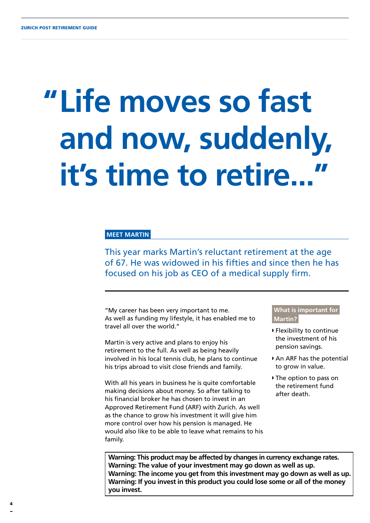## **Life moves so fast " and now, suddenly,**  it's time to retire...

## **MEET MARTIN**

This year marks Martin's reluctant retirement at the age of 67. He was widowed in his fifties and since then he has focused on his job as CEO of a medical supply firm.

"My career has been very important to me. As well as funding my lifestyle, it has enabled me to travel all over the world."

Martin is very active and plans to enjoy his retirement to the full. As well as being heavily involved in his local tennis club, he plans to continue his trips abroad to visit close friends and family.

With all his years in business he is quite comfortable making decisions about money. So after talking to his financial broker he has chosen to invest in an Approved Retirement Fund (ARF) with Zurich. As well as the chance to grow his investment it will give him more control over how his pension is managed. He would also like to be able to leave what remains to his family.

## **What is important for Martin?**

- ◗ Flexibility to continue the investment of his pension savings.
- ◗ An ARF has the potential to grow in value.
- ◗ The option to pass on the retirement fund after death.

**Warning: This product may be affected by changes in currency exchange rates. Warning: The value of your investment may go down as well as up. Warning: The income you get from this investment may go down as well as up. Warning: If you invest in this product you could lose some or all of the money you invest.**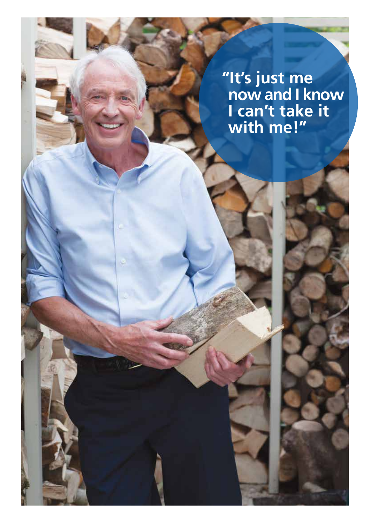**"It's just me now and I know I can't take it with me!"**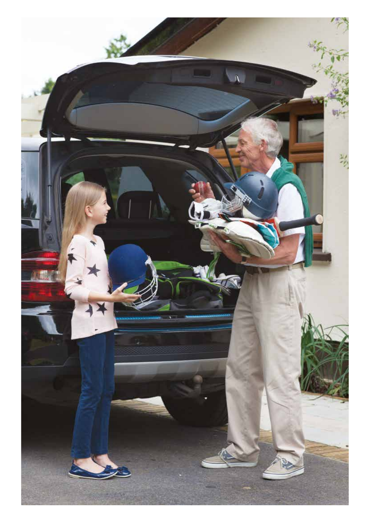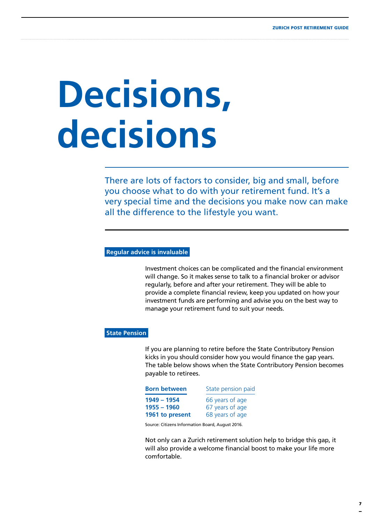# **Decisions, decisions**

There are lots of factors to consider, big and small, before you choose what to do with your retirement fund. It's a very special time and the decisions you make now can make all the difference to the lifestyle you want.

#### **Regular advice is invaluable**

Investment choices can be complicated and the financial environment will change. So it makes sense to talk to a financial broker or advisor regularly, before and after your retirement. They will be able to provide a complete financial review, keep you updated on how your investment funds are performing and advise you on the best way to manage your retirement fund to suit your needs.

#### **State Pension**

If you are planning to retire before the State Contributory Pension kicks in you should consider how you would finance the gap years. The table below shows when the State Contributory Pension becomes payable to retirees.

| <b>Born between</b> | State pension paid |
|---------------------|--------------------|
| $1949 - 1954$       | 66 years of age    |
| $1955 - 1960$       | 67 years of age    |
| 1961 to present     | 68 years of age    |

Source: Citizens Information Board, August 2016.

Not only can a Zurich retirement solution help to bridge this gap, it will also provide a welcome financial boost to make your life more comfortable.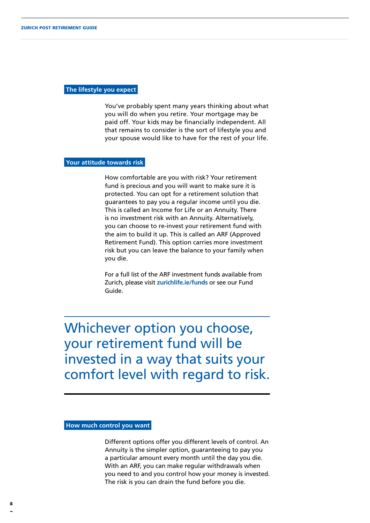### **The lifestyle you expect**

You've probably spent many years thinking about what you will do when you retire. Your mortgage may be paid off. Your kids may be financially independent. All that remains to consider is the sort of lifestyle you and your spouse would like to have for the rest of your life.

#### **Your attitude towards risk**

How comfortable are you with risk? Your retirement fund is precious and you will want to make sure it is protected. You can opt for a retirement solution that guarantees to pay you a regular income until you die. This is called an Income for Life or an Annuity. There is no investment risk with an Annuity. Alternatively, you can choose to re-invest your retirement fund with the aim to build it up. This is called an ARF (Approved Retirement Fund). This option carries more investment risk but you can leave the balance to your family when you die.

For a full list of the ARF investment funds available from Zurich, please visit **zurichlife.ie/funds** or see our Fund Guide.

Whichever option you choose, your retirement fund will be invested in a way that suits your comfort level with regard to risk.

#### **How much control you want**

Different options offer you different levels of control. An Annuity is the simpler option, guaranteeing to pay you a particular amount every month until the day you die. With an ARF, you can make regular withdrawals when you need to and you control how your money is invested. The risk is you can drain the fund before you die.

8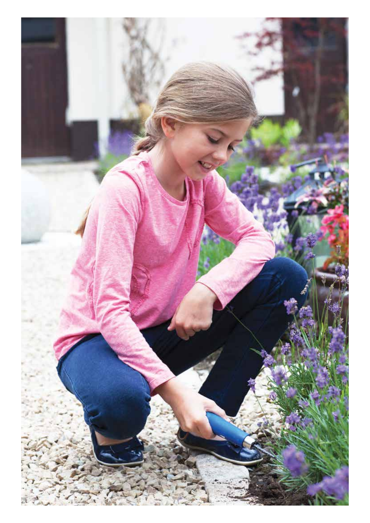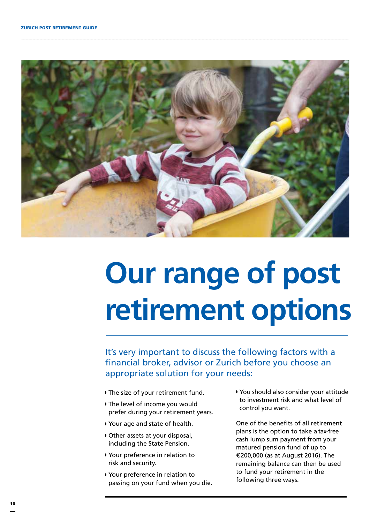

## **Our range of post retirement options**

It's very important to discuss the following factors with a financial broker, advisor or Zurich before you choose an appropriate solution for your needs:

- ◗ The size of your retirement fund.
- ◗ The level of income you would prefer during your retirement years.
- ◗ Your age and state of health.
- ◗ Other assets at your disposal, including the State Pension.
- ◗ Your preference in relation to risk and security.
- ◗ Your preference in relation to passing on your fund when you die.

◗ You should also consider your attitude to investment risk and what level of control you want.

One of the benefits of all retirement plans is the option to take a tax-free cash lump sum payment from your matured pension fund of up to €200,000 (as at August 2016). The remaining balance can then be used to fund your retirement in the following three ways.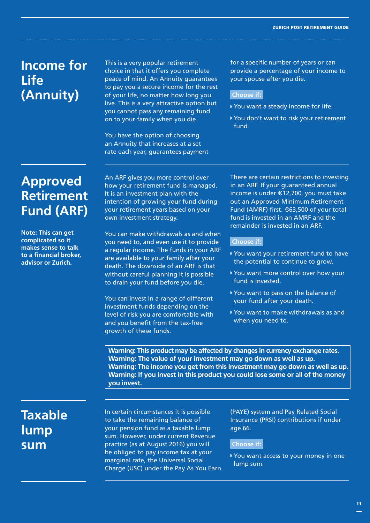## **Income for Life (Annuity)**

This is a very popular retirement choice in that it offers you complete peace of mind. An Annuity guarantees to pay you a secure income for the rest of your life, no matter how long you live. This is a very attractive option but you cannot pass any remaining fund on to your family when you die.

You have the option of choosing an Annuity that increases at a set rate each year, guarantees payment

for a specific number of years or can provide a percentage of your income to your spouse after you die.

### **Choose if:**

- ◗ You want a steady income for life.
- ◗ You don't want to risk your retirement fund.

## **Approved Retirement Fund (ARF)**

**Note: This can get complicated so it makes sense to talk to a financial broker, advisor or Zurich.**

An ARF gives you more control over how your retirement fund is managed. It is an investment plan with the intention of growing your fund during your retirement years based on your own investment strategy.

You can make withdrawals as and when you need to, and even use it to provide a regular income. The funds in your ARF are available to your family after your death. The downside of an ARF is that without careful planning it is possible to drain your fund before you die.

You can invest in a range of different investment funds depending on the level of risk you are comfortable with and you benefit from the tax-free growth of these funds.

There are certain restrictions to investing in an ARF. If your guaranteed annual income is under €12,700, you must take out an Approved Minimum Retirement Fund (AMRF) first. €63,500 of your total fund is invested in an AMRF and the remainder is invested in an ARF.

## **Choose if:**

- ◗ You want your retirement fund to have the potential to continue to grow.
- ◗ You want more control over how your fund is invested.
- ◗ You want to pass on the balance of your fund after your death.
- ◗ You want to make withdrawals as and when you need to.

**Warning: This product may be affected by changes in currency exchange rates. Warning: The value of your investment may go down as well as up. Warning: The income you get from this investment may go down as well as up. Warning: If you invest in this product you could lose some or all of the money you invest.**

## **Taxable lump sum**

In certain circumstances it is possible to take the remaining balance of your pension fund as a taxable lump sum. However, under current Revenue practice (as at August 2016) you will be obliged to pay income tax at your marginal rate, the Universal Social Charge (USC) under the Pay As You Earn (PAYE) system and Pay Related Social Insurance (PRSI) contributions if under age 66.

#### **Choose if:**

◗ You want access to your money in one lump sum.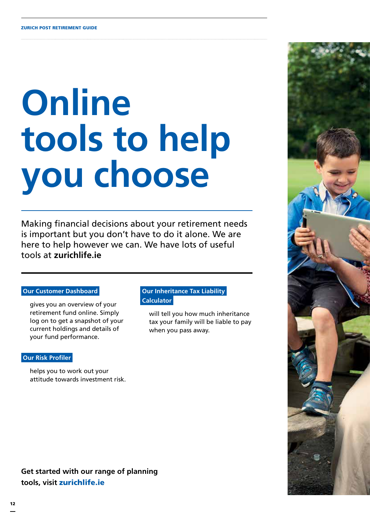# **Online tools to help you choose**

Making financial decisions about your retirement needs is important but you don't have to do it alone. We are here to help however we can. We have lots of useful tools at **zurichlife.ie**

#### **Our Customer Dashboard**

gives you an overview of your retirement fund online. Simply log on to get a snapshot of your current holdings and details of your fund performance.

### **Our Risk Profiler**

helps you to work out your attitude towards investment risk.

## **Our Inheritance Tax Liability Calculator**

will tell you how much inheritance tax your family will be liable to pay when you pass away.

**Get started with our range of planning tools, visit** zurichlife.ie

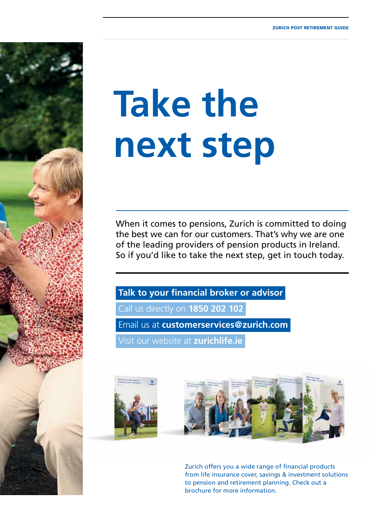# **Take the next step**

When it comes to pensions, Zurich is committed to doing the best we can for our customers. That's why we are one of the leading providers of pension products in Ireland. So if you'd like to take the next step, get in touch today.

## **Talk to your financial broker or advisor**

Call us directly on **1850 202 102** 

Email us at **customerservices@zurich.com** 

Visit our website at **zurichlife.ie** 





Zurich offers you a wide range of financial products from life insurance cover, savings & investment solutions to pension and retirement planning. Check out a brochure for more information.